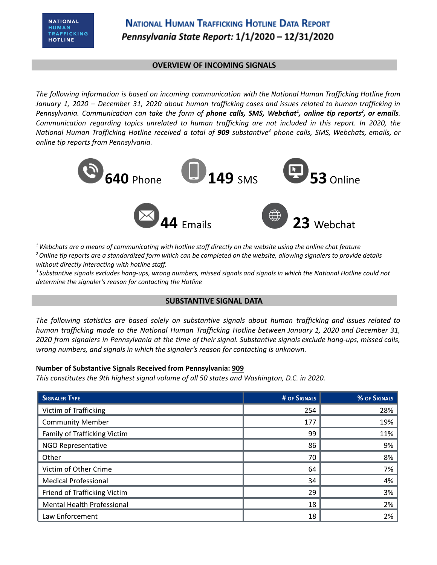## **OVERVIEW OF INCOMING SIGNALS**

*The following information is based on incoming communication with the National Human Trafficking Hotline from* January 1, 2020 - December 31, 2020 about human trafficking cases and issues related to human trafficking in Pennsylvania. Communication can take the form of **phone calls, SMS, Webchat<sup>1</sup>, online tip reports<sup>2</sup>, or emails.** *Communication regarding topics unrelated to human trafficking are not included in this report. In 2020, the* National Human Trafficking Hotline received a total of 909 substantive<sup>3</sup> phone calls, SMS, Webchats, emails, or *online tip reports from Pennsylvania.*



 $1$  Webchats are a means of communicating with hotline staff directly on the website using the online chat feature <sup>2</sup> Online tip reports are a standardized form which can be completed on the website, allowing signalers to provide details *without directly interacting with hotline staff.*

<sup>3</sup> Substantive signals excludes hang-ups, wrong numbers, missed signals and signals in which the National Hotline could not *determine the signaler's reason for contacting the Hotline*

### **SUBSTANTIVE SIGNAL DATA**

*The following statistics are based solely on substantive signals about human trafficking and issues related to human trafficking made to the National Human Trafficking Hotline between January 1, 2020 and December 31,* 2020 from signalers in Pennsylvania at the time of their signal. Substantive signals exclude hang-ups, missed calls, *wrong numbers, and signals in which the signaler's reason for contacting is unknown.*

### **Number of Substantive Signals Received from Pennsylvania: 909**

*This constitutes the 9th highest signal volume of all 50 states and Washington, D.C. in 2020.*

| <b>SIGNALER TYPE</b>         | <b># OF SIGNALS</b> | % OF SIGNALS |
|------------------------------|---------------------|--------------|
| Victim of Trafficking        | 254                 | 28%          |
| <b>Community Member</b>      | 177                 | 19%          |
| Family of Trafficking Victim | 99                  | 11%          |
| NGO Representative           | 86                  | 9%           |
| Other                        | 70                  | 8%           |
| Victim of Other Crime        | 64                  | 7%           |
| <b>Medical Professional</b>  | 34                  | 4%           |
| Friend of Trafficking Victim | 29                  | 3%           |
| Mental Health Professional   | 18                  | 2%           |
| Law Enforcement              | 18                  | 2%           |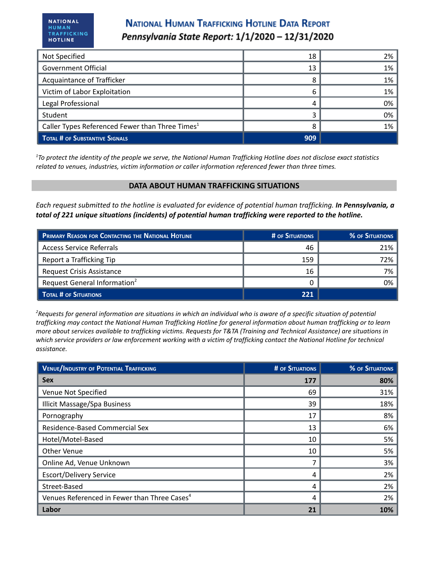# **NATIONAL HUMAN TRAFFICKING HOTLINE DATA REPORT** Pennsylvania State Report: 1/1/2020 - 12/31/2020

| Not Specified                                               | 18  | 2% |
|-------------------------------------------------------------|-----|----|
| <b>Government Official</b>                                  | 13  | 1% |
| Acquaintance of Trafficker                                  | 8   | 1% |
| Victim of Labor Exploitation                                | 6   | 1% |
| Legal Professional                                          | 4   | 0% |
| Student                                                     |     | 0% |
| Caller Types Referenced Fewer than Three Times <sup>1</sup> | 8   | 1% |
| TOTAL # OF SUBSTANTIVE SIGNALS                              | 909 |    |

 $1$ To protect the identity of the people we serve, the National Human Trafficking Hotline does not disclose exact statistics *related to venues, industries, victim information or caller information referenced fewer than three times.*

## **DATA ABOUT HUMAN TRAFFICKING SITUATIONS**

Each request submitted to the hotline is evaluated for evidence of potential human trafficking. In Pennsylvania, a *total of 221 unique situations (incidents) of potential human trafficking were reported to the hotline.*

| PRIMARY REASON FOR CONTACTING THE NATIONAL HOTLINE | # OF SITUATIONS | % OF SITUATIONS |
|----------------------------------------------------|-----------------|-----------------|
| <b>Access Service Referrals</b>                    | 46              | 21%             |
| Report a Trafficking Tip                           | 159             | 72%             |
| <b>Request Crisis Assistance</b>                   | 16              | 7%              |
| Request General Information <sup>2</sup>           |                 | 0%              |
| TOTAL # OF SITUATIONS                              | 221             |                 |

<sup>2</sup>Requests for general information are situations in which an individual who is aware of a specific situation of potential trafficking may contact the National Human Trafficking Hotline for general information about human trafficking or to learn more about services available to trafficking victims. Requests for T&TA (Training and Technical Assistance) are situations in which service providers or law enforcement working with a victim of trafficking contact the National Hotline for technical *assistance.*

| <b>VENUE/INDUSTRY OF POTENTIAL TRAFFICKING</b>           | <b># OF SITUATIONS</b> | % OF SITUATIONS |
|----------------------------------------------------------|------------------------|-----------------|
| <b>Sex</b>                                               | 177                    | 80%             |
| Venue Not Specified                                      | 69                     | 31%             |
| <b>Illicit Massage/Spa Business</b>                      | 39                     | 18%             |
| Pornography                                              | 17                     | 8%              |
| Residence-Based Commercial Sex                           | 13                     | 6%              |
| Hotel/Motel-Based                                        | 10                     | 5%              |
| Other Venue                                              | 10                     | 5%              |
| Online Ad, Venue Unknown                                 |                        | 3%              |
| <b>Escort/Delivery Service</b>                           | 4                      | 2%              |
| Street-Based                                             | 4                      | 2%              |
| Venues Referenced in Fewer than Three Cases <sup>4</sup> | 4                      | 2%              |
| Labor                                                    | 21                     | 10%             |